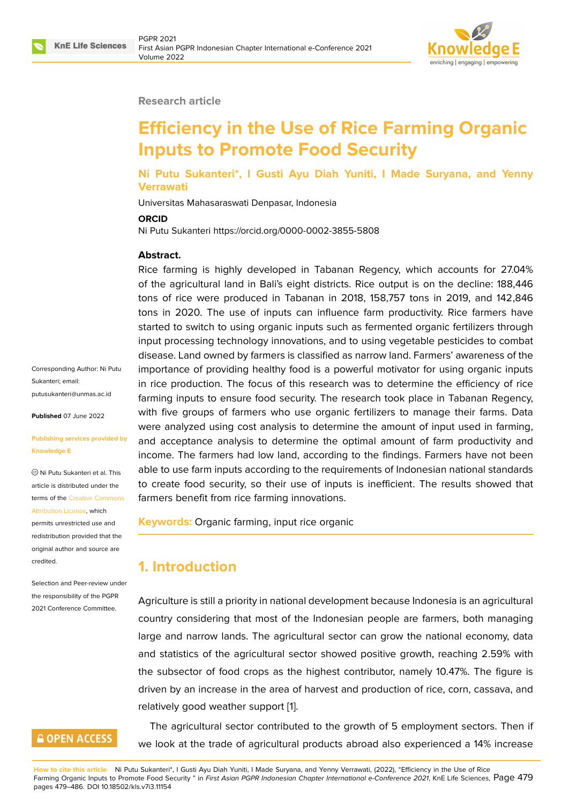

#### **Research article**

# **Efficiency in the Use of Rice Farming Organic Inputs to Promote Food Security**

**Ni Putu Sukanteri\*, I Gusti Ayu Diah Yuniti, I Made Suryana, and Yenny Verrawati**

Universitas Mahasaraswati Denpasar, Indonesia

**ORCID**

Ni Putu Sukanteri https://orcid.org/0000-0002-3855-5808

#### **Abstract.**

Rice farming is highly developed in Tabanan Regency, which accounts for 27.04% of the agricultural land in Bali's eight districts. Rice output is on the decline: 188,446 tons of rice were produced in Tabanan in 2018, 158,757 tons in 2019, and 142,846 tons in 2020. The use of inputs can influence farm productivity. Rice farmers have started to switch to using organic inputs such as fermented organic fertilizers through input processing technology innovations, and to using vegetable pesticides to combat disease. Land owned by farmers is classified as narrow land. Farmers' awareness of the importance of providing healthy food is a powerful motivator for using organic inputs in rice production. The focus of this research was to determine the efficiency of rice farming inputs to ensure food security. The research took place in Tabanan Regency, with five groups of farmers who use organic fertilizers to manage their farms. Data were analyzed using cost analysis to determine the amount of input used in farming, and acceptance analysis to determine the optimal amount of farm productivity and income. The farmers had low land, according to the findings. Farmers have not been able to use farm inputs according to the requirements of Indonesian national standards to create food security, so their use of inputs is inefficient. The results showed that farmers benefit from rice farming innovations.

**Keywords:** Organic farming, input rice organic

# **1. Introduction**

Agriculture is still a priority in national development because Indonesia is an agricultural country considering that most of the Indonesian people are farmers, both managing large and narrow lands. The agricultural sector can grow the national economy, data and statistics of the agricultural sector showed positive growth, reaching 2.59% with the subsector of food crops as the highest contributor, namely 10.47%. The figure is driven by an increase in the area of harvest and production of rice, corn, cassava, and relatively good weather support [1].

The agricultural sector contributed to the growth of 5 employment sectors. Then if we look at the trade of agricultu[ra](#page-6-0)l products abroad also experienced a 14% increase

**How to cite this article**: Ni Putu Sukanteri\*, I Gusti Ayu Diah Yuniti, I Made Suryana, and Yenny Verrawati, (2022), "Efficiency in the Use of Rice Farming Organic Inputs to Promote Food Security " in *First Asian PGPR Indonesian Chapter International e-Conference 2021*, KnE Life Sciences, Page 479 pages 479–486. DOI 10.18502/kls.v7i3.11154

Corresponding Author: Ni Putu Sukanteri; email: putusukanteri@unmas.ac.id

**Published** 07 June 2022

#### **[Publishing services provide](mailto:putusukanteri@unmas.ac.id)d by Knowledge E**

Ni Putu Sukanteri et al. This article is distributed under the terms of the Creative Commons Attribution License, which

permits unrestricted use and redistribution provided that the original auth[or and source are](https://creativecommons.org/licenses/by/4.0/) [credited.](https://creativecommons.org/licenses/by/4.0/)

Selection and Peer-review under the responsibility of the PGPR 2021 Conference Committee.

# **GOPEN ACCESS**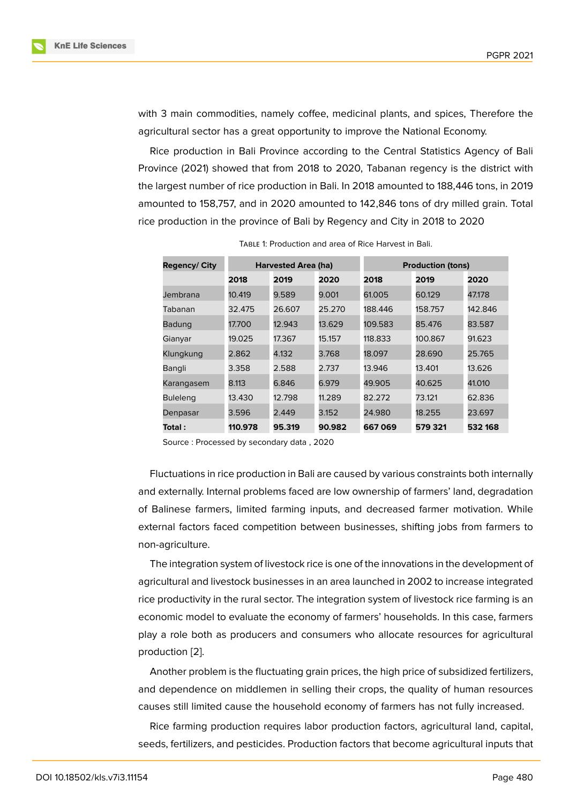with 3 main commodities, namely coffee, medicinal plants, and spices, Therefore the agricultural sector has a great opportunity to improve the National Economy.

Rice production in Bali Province according to the Central Statistics Agency of Bali Province (2021) showed that from 2018 to 2020, Tabanan regency is the district with the largest number of rice production in Bali. In 2018 amounted to 188,446 tons, in 2019 amounted to 158,757, and in 2020 amounted to 142,846 tons of dry milled grain. Total rice production in the province of Bali by Regency and City in 2018 to 2020

| <b>Regency/ City</b> | <b>Harvested Area (ha)</b> |        | <b>Production (tons)</b> |         |         |         |
|----------------------|----------------------------|--------|--------------------------|---------|---------|---------|
|                      | 2018                       | 2019   | 2020                     | 2018    | 2019    | 2020    |
| Jembrana             | 10.419                     | 9.589  | 9.001                    | 61.005  | 60.129  | 47.178  |
| Tabanan              | 32.475                     | 26.607 | 25.270                   | 188.446 | 158.757 | 142.846 |
| <b>Badung</b>        | 17.700                     | 12.943 | 13.629                   | 109.583 | 85.476  | 83.587  |
| Gianyar              | 19.025                     | 17.367 | 15.157                   | 118.833 | 100.867 | 91.623  |
| Klungkung            | 2.862                      | 4.132  | 3.768                    | 18.097  | 28.690  | 25.765  |
| Bangli               | 3.358                      | 2.588  | 2.737                    | 13.946  | 13.401  | 13.626  |
| Karangasem           | 8.113                      | 6.846  | 6.979                    | 49.905  | 40.625  | 41.010  |
| <b>Buleleng</b>      | 13.430                     | 12.798 | 11.289                   | 82.272  | 73.121  | 62.836  |
| Denpasar             | 3.596                      | 2.449  | 3.152                    | 24.980  | 18.255  | 23.697  |
| Total :              | 110.978                    | 95.319 | 90.982                   | 667069  | 579 321 | 532 168 |

Table 1: Production and area of Rice Harvest in Bali.

Source : Processed by secondary data , 2020

Fluctuations in rice production in Bali are caused by various constraints both internally and externally. Internal problems faced are low ownership of farmers' land, degradation of Balinese farmers, limited farming inputs, and decreased farmer motivation. While external factors faced competition between businesses, shifting jobs from farmers to non-agriculture.

The integration system of livestock rice is one of the innovations in the development of agricultural and livestock businesses in an area launched in 2002 to increase integrated rice productivity in the rural sector. The integration system of livestock rice farming is an economic model to evaluate the economy of farmers' households. In this case, farmers play a role both as producers and consumers who allocate resources for agricultural production [2].

Another problem is the fluctuating grain prices, the high price of subsidized fertilizers, and dependence on middlemen in selling their crops, the quality of human resources causes still [lim](#page-6-1)ited cause the household economy of farmers has not fully increased.

Rice farming production requires labor production factors, agricultural land, capital, seeds, fertilizers, and pesticides. Production factors that become agricultural inputs that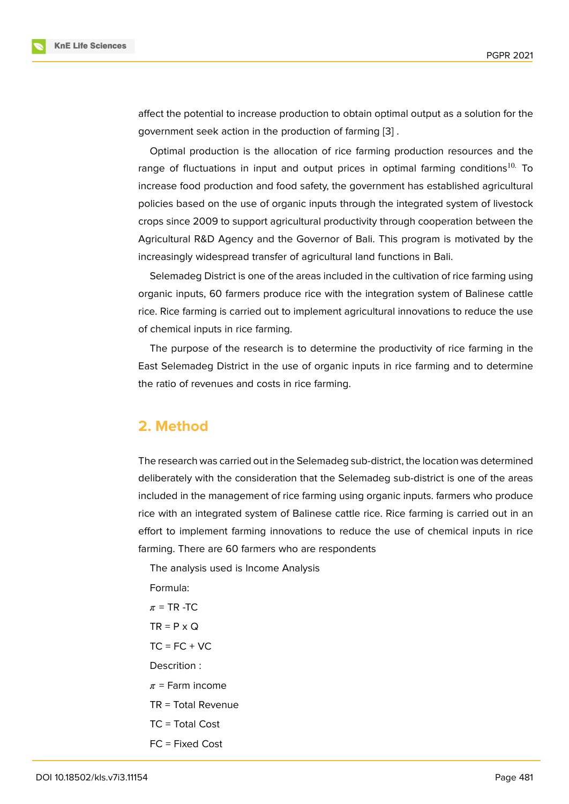affect the potential to increase production to obtain optimal output as a solution for the government seek action in the production of farming [3] .

Optimal production is the allocation of rice farming production resources and the range of fluctuations in input and output prices in optimal farming conditions<sup>10.</sup> To increase food production and food safety, the govern[me](#page-6-2)nt has established agricultural policies based on the use of organic inputs through the integrated system of livestock crops since 2009 to support agricultural productivity through cooperation between the Agricultural R&D Agency and the Governor of Bali. This program is motivated by the increasingly widespread transfer of agricultural land functions in Bali.

Selemadeg District is one of the areas included in the cultivation of rice farming using organic inputs, 60 farmers produce rice with the integration system of Balinese cattle rice. Rice farming is carried out to implement agricultural innovations to reduce the use of chemical inputs in rice farming.

The purpose of the research is to determine the productivity of rice farming in the East Selemadeg District in the use of organic inputs in rice farming and to determine the ratio of revenues and costs in rice farming.

## **2. Method**

The research was carried out in the Selemadeg sub-district, the location was determined deliberately with the consideration that the Selemadeg sub-district is one of the areas included in the management of rice farming using organic inputs. farmers who produce rice with an integrated system of Balinese cattle rice. Rice farming is carried out in an effort to implement farming innovations to reduce the use of chemical inputs in rice farming. There are 60 farmers who are respondents

The analysis used is Income Analysis

Formula:

- $\pi$  = TR -TC
- $TR = P \times Q$
- $TC = FC + VC$

Descrition :

- $\pi$  = Farm income
- TR = Total Revenue
- TC = Total Cost
- FC = Fixed Cost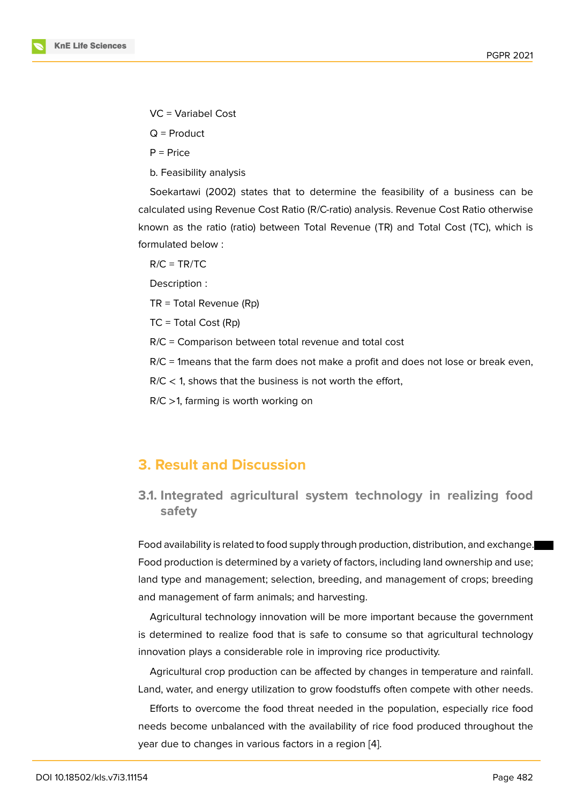- VC = Variabel Cost
- $Q = Product$
- $P = Price$

b. Feasibility analysis

Soekartawi (2002) states that to determine the feasibility of a business can be calculated using Revenue Cost Ratio (R/C-ratio) analysis. Revenue Cost Ratio otherwise known as the ratio (ratio) between Total Revenue (TR) and Total Cost (TC), which is formulated below :

 $R/C = TR/TC$ 

Description :

TR = Total Revenue (Rp)

TC = Total Cost (Rp)

R/C = Comparison between total revenue and total cost

R/C = 1means that the farm does not make a profit and does not lose or break even,

 $R/C < 1$ , shows that the business is not worth the effort,

R/C >1, farming is worth working on

# **3. Result and Discussion**

### **3.1. Integrated agricultural system technology in realizing food safety**

Food availability is related to food supply through production, distribution, and exchange. Food production is determined by a variety of factors, including land ownership and use; land type and management; selection, breeding, and management of crops; breeding and management of farm animals; and harvesting.

Agricultural technology innovation will be more important because the government is determined to realize food that is safe to consume so that agricultural technology innovation plays a considerable role in improving rice productivity.

Agricultural crop production can be affected by changes in temperature and rainfall. Land, water, and energy utilization to grow foodstuffs often compete with other needs.

Efforts to overcome the food threat needed in the population, especially rice food needs become unbalanced with the availability of rice food produced throughout the year due to changes in various factors in a region [4].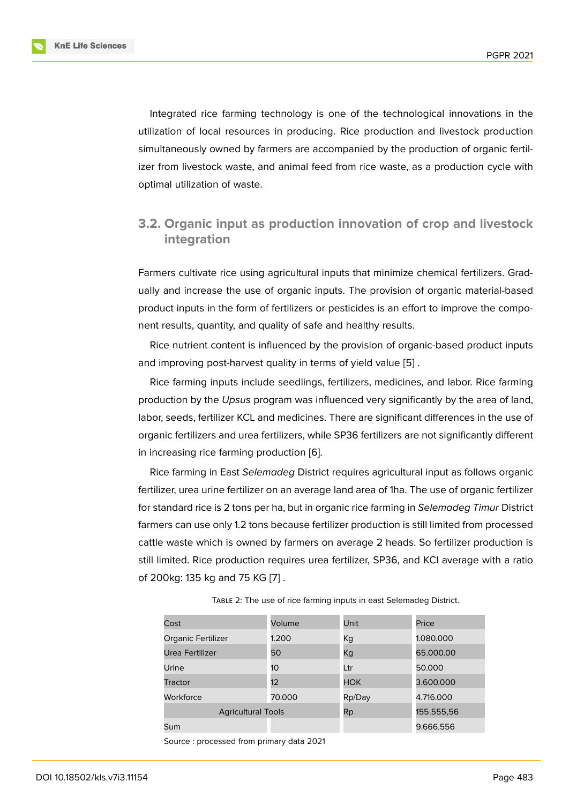Integrated rice farming technology is one of the technological innovations in the utilization of local resources in producing. Rice production and livestock production simultaneously owned by farmers are accompanied by the production of organic fertilizer from livestock waste, and animal feed from rice waste, as a production cycle with optimal utilization of waste.

## **3.2. Organic input as production innovation of crop and livestock integration**

Farmers cultivate rice using agricultural inputs that minimize chemical fertilizers. Gradually and increase the use of organic inputs. The provision of organic material-based product inputs in the form of fertilizers or pesticides is an effort to improve the component results, quantity, and quality of safe and healthy results.

Rice nutrient content is influenced by the provision of organic-based product inputs and improving post-harvest quality in terms of yield value [5] .

Rice farming inputs include seedlings, fertilizers, medicines, and labor. Rice farming production by the *Upsus* program was influenced very significantly by the area of land, labor, seeds, fertilizer KCL and medicines. There are signifi[ca](#page-6-3)nt differences in the use of organic fertilizers and urea fertilizers, while SP36 fertilizers are not significantly different in increasing rice farming production [6].

Rice farming in East *Selemadeg* District requires agricultural input as follows organic fertilizer, urea urine fertilizer on an average land area of 1ha. The use of organic fertilizer for standard rice is 2 tons per ha, but i[n o](#page-6-4)rganic rice farming in *Selemadeg Timur* District farmers can use only 1.2 tons because fertilizer production is still limited from processed cattle waste which is owned by farmers on average 2 heads. So fertilizer production is still limited. Rice production requires urea fertilizer, SP36, and KCl average with a ratio of 200kg: 135 kg and 75 KG [7] .

| Cost                      | Volume | Unit       | Price      |  |
|---------------------------|--------|------------|------------|--|
| Organic Fertilizer        | 1.200  | Кq         | 1.080.000  |  |
| Urea Fertilizer           | 50     | Кg         | 65.000.00  |  |
| Urine                     | 10     | Ltr        | 50.000     |  |
| <b>Tractor</b>            | 12     | <b>HOK</b> | 3.600.000  |  |
| Workforce                 | 70.000 | Rp/Day     | 4.716.000  |  |
| <b>Agricultural Tools</b> |        | Rp         | 155.555,56 |  |
| Sum                       |        |            | 9.666.556  |  |

Table 2: The use of rice farming inputs in east Selemadeg District.

Source : processed from primary data 2021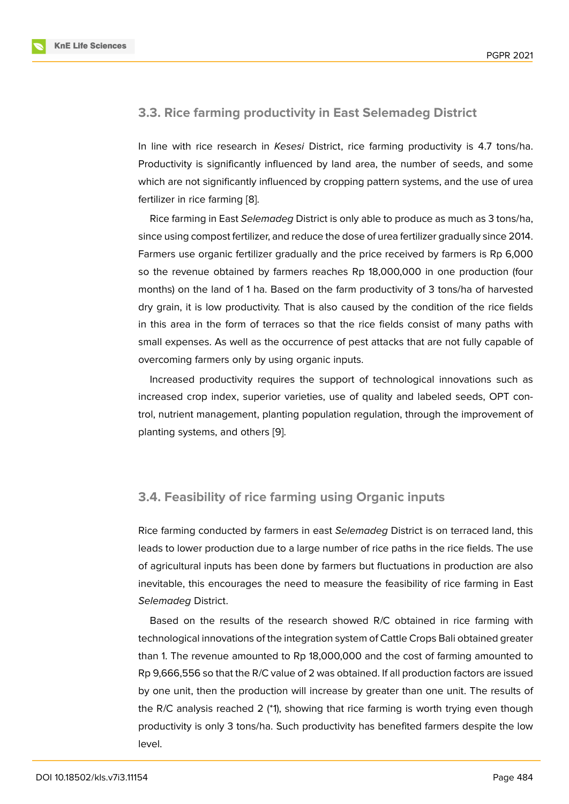### **3.3. Rice farming productivity in East Selemadeg District**

In line with rice research in *Kesesi* District, rice farming productivity is 4.7 tons/ha. Productivity is significantly influenced by land area, the number of seeds, and some which are not significantly influenced by cropping pattern systems, and the use of urea fertilizer in rice farming [8].

Rice farming in East *Selemadeg* District is only able to produce as much as 3 tons/ha, since using compost fertilizer, and reduce the dose of urea fertilizer gradually since 2014. Farmers use organic fer[til](#page-7-0)izer gradually and the price received by farmers is Rp 6,000 so the revenue obtained by farmers reaches Rp 18,000,000 in one production (four months) on the land of 1 ha. Based on the farm productivity of 3 tons/ha of harvested dry grain, it is low productivity. That is also caused by the condition of the rice fields in this area in the form of terraces so that the rice fields consist of many paths with small expenses. As well as the occurrence of pest attacks that are not fully capable of overcoming farmers only by using organic inputs.

Increased productivity requires the support of technological innovations such as increased crop index, superior varieties, use of quality and labeled seeds, OPT control, nutrient management, planting population regulation, through the improvement of planting systems, and others [9].

#### **3.4. Feasibility of rice farming using Organic inputs**

Rice farming conducted by farmers in east *Selemadeg* District is on terraced land, this leads to lower production due to a large number of rice paths in the rice fields. The use of agricultural inputs has been done by farmers but fluctuations in production are also inevitable, this encourages the need to measure the feasibility of rice farming in East *Selemadeg* District.

Based on the results of the research showed R/C obtained in rice farming with technological innovations of the integration system of Cattle Crops Bali obtained greater than 1. The revenue amounted to Rp 18,000,000 and the cost of farming amounted to Rp 9,666,556 so that the R/C value of 2 was obtained. If all production factors are issued by one unit, then the production will increase by greater than one unit. The results of the R/C analysis reached 2 (\*1), showing that rice farming is worth trying even though productivity is only 3 tons/ha. Such productivity has benefited farmers despite the low level.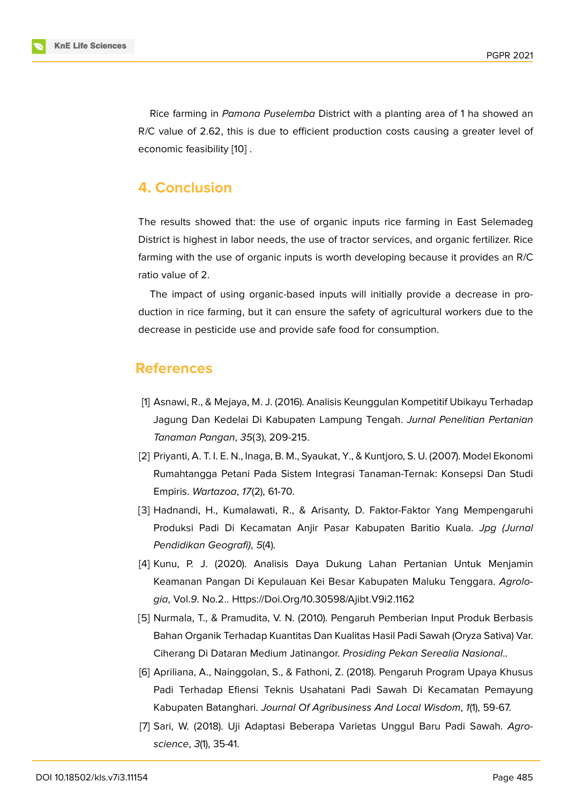Rice farming in *Pamona Puselemba* District with a planting area of 1 ha showed an R/C value of 2.62, this is due to efficient production costs causing a greater level of economic feasibility [10] .

# **4. Conclusion**

The results showed that: the use of organic inputs rice farming in East Selemadeg District is highest in labor needs, the use of tractor services, and organic fertilizer. Rice farming with the use of organic inputs is worth developing because it provides an R/C ratio value of 2.

The impact of using organic-based inputs will initially provide a decrease in production in rice farming, but it can ensure the safety of agricultural workers due to the decrease in pesticide use and provide safe food for consumption.

### **References**

- [1] Asnawi, R., & Mejaya, M. J. (2016). Analisis Keunggulan Kompetitif Ubikayu Terhadap Jagung Dan Kedelai Di Kabupaten Lampung Tengah. *Jurnal Penelitian Pertanian Tanaman Pangan*, *35*(3), 209-215.
- <span id="page-6-0"></span>[2] Priyanti, A. T. I. E. N., Inaga, B. M., Syaukat, Y., & Kuntjoro, S. U. (2007). Model Ekonomi Rumahtangga Petani Pada Sistem Integrasi Tanaman-Ternak: Konsepsi Dan Studi Empiris. *Wartazoa*, *17*(2), 61-70.
- <span id="page-6-1"></span>[3] Hadnandi, H., Kumalawati, R., & Arisanty, D. Faktor-Faktor Yang Mempengaruhi Produksi Padi Di Kecamatan Anjir Pasar Kabupaten Baritio Kuala. *Jpg (Jurnal Pendidikan Geografi)*, *5*(4).
- <span id="page-6-2"></span>[4] Kunu, P. J. (2020). Analisis Daya Dukung Lahan Pertanian Untuk Menjamin Keamanan Pangan Di Kepulauan Kei Besar Kabupaten Maluku Tenggara. *Agrologia*, Vol.*9*. No.2.. Https://Doi.Org/10.30598/Ajibt.V9i2.1162
- [5] Nurmala, T., & Pramudita, V. N. (2010). Pengaruh Pemberian Input Produk Berbasis Bahan Organik Terhadap Kuantitas Dan Kualitas Hasil Padi Sawah (Oryza Sativa) Var. Ciherang Di Dataran Medium Jatinangor. *Prosiding Pekan Serealia Nasional*..
- <span id="page-6-3"></span>[6] Apriliana, A., Nainggolan, S., & Fathoni, Z. (2018). Pengaruh Program Upaya Khusus Padi Terhadap Efiensi Teknis Usahatani Padi Sawah Di Kecamatan Pemayung Kabupaten Batanghari. *Journal Of Agribusiness And Local Wisdom*, *1*(1), 59-67.
- <span id="page-6-5"></span><span id="page-6-4"></span>[7] Sari, W. (2018). Uji Adaptasi Beberapa Varietas Unggul Baru Padi Sawah. *Agroscience*, *3*(1), 35-41.